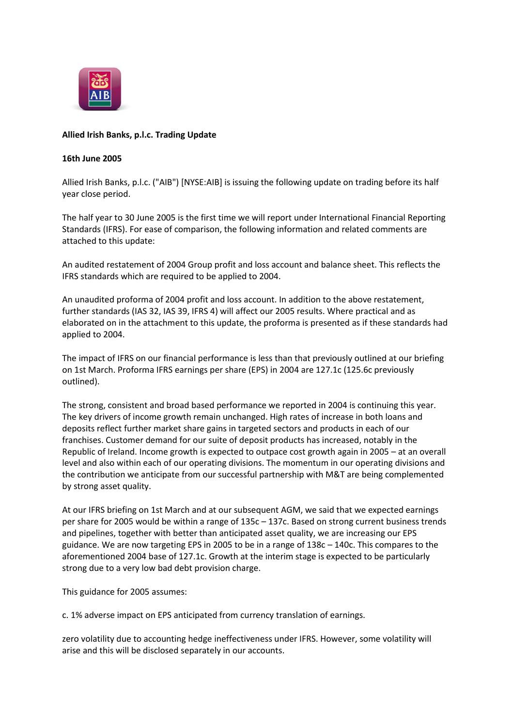

# **Allied Irish Banks, p.l.c. Trading Update**

# **16th June 2005**

Allied Irish Banks, p.l.c. ("AIB") [NYSE:AIB] is issuing the following update on trading before its half year close period.

The half year to 30 June 2005 is the first time we will report under International Financial Reporting Standards (IFRS). For ease of comparison, the following information and related comments are attached to this update:

An audited restatement of 2004 Group profit and loss account and balance sheet. This reflects the IFRS standards which are required to be applied to 2004.

An unaudited proforma of 2004 profit and loss account. In addition to the above restatement, further standards (IAS 32, IAS 39, IFRS 4) will affect our 2005 results. Where practical and as elaborated on in the attachment to this update, the proforma is presented as if these standards had applied to 2004.

The impact of IFRS on our financial performance is less than that previously outlined at our briefing on 1st March. Proforma IFRS earnings per share (EPS) in 2004 are 127.1c (125.6c previously outlined).

The strong, consistent and broad based performance we reported in 2004 is continuing this year. The key drivers of income growth remain unchanged. High rates of increase in both loans and deposits reflect further market share gains in targeted sectors and products in each of our franchises. Customer demand for our suite of deposit products has increased, notably in the Republic of Ireland. Income growth is expected to outpace cost growth again in 2005 – at an overall level and also within each of our operating divisions. The momentum in our operating divisions and the contribution we anticipate from our successful partnership with M&T are being complemented by strong asset quality.

At our IFRS briefing on 1st March and at our subsequent AGM, we said that we expected earnings per share for 2005 would be within a range of 135c – 137c. Based on strong current business trends and pipelines, together with better than anticipated asset quality, we are increasing our EPS guidance. We are now targeting EPS in 2005 to be in a range of 138c – 140c. This compares to the aforementioned 2004 base of 127.1c. Growth at the interim stage is expected to be particularly strong due to a very low bad debt provision charge.

This guidance for 2005 assumes:

c. 1% adverse impact on EPS anticipated from currency translation of earnings.

zero volatility due to accounting hedge ineffectiveness under IFRS. However, some volatility will arise and this will be disclosed separately in our accounts.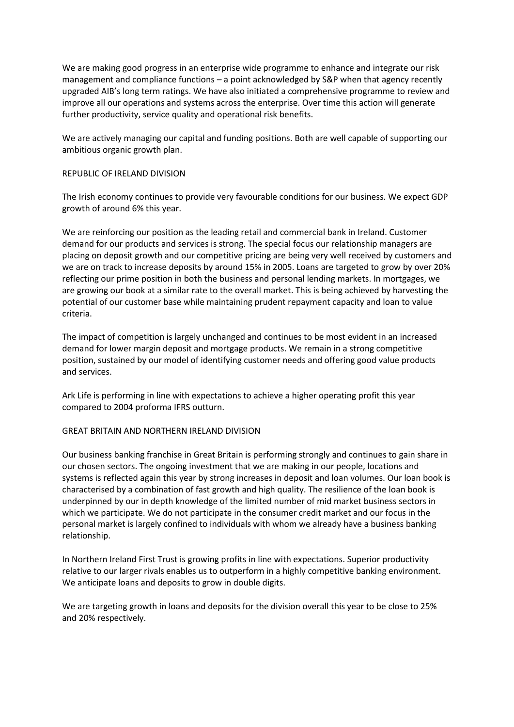We are making good progress in an enterprise wide programme to enhance and integrate our risk management and compliance functions – a point acknowledged by S&P when that agency recently upgraded AIB's long term ratings. We have also initiated a comprehensive programme to review and improve all our operations and systems across the enterprise. Over time this action will generate further productivity, service quality and operational risk benefits.

We are actively managing our capital and funding positions. Both are well capable of supporting our ambitious organic growth plan.

# REPUBLIC OF IRELAND DIVISION

The Irish economy continues to provide very favourable conditions for our business. We expect GDP growth of around 6% this year.

We are reinforcing our position as the leading retail and commercial bank in Ireland. Customer demand for our products and services is strong. The special focus our relationship managers are placing on deposit growth and our competitive pricing are being very well received by customers and we are on track to increase deposits by around 15% in 2005. Loans are targeted to grow by over 20% reflecting our prime position in both the business and personal lending markets. In mortgages, we are growing our book at a similar rate to the overall market. This is being achieved by harvesting the potential of our customer base while maintaining prudent repayment capacity and loan to value criteria.

The impact of competition is largely unchanged and continues to be most evident in an increased demand for lower margin deposit and mortgage products. We remain in a strong competitive position, sustained by our model of identifying customer needs and offering good value products and services.

Ark Life is performing in line with expectations to achieve a higher operating profit this year compared to 2004 proforma IFRS outturn.

#### GREAT BRITAIN AND NORTHERN IRELAND DIVISION

Our business banking franchise in Great Britain is performing strongly and continues to gain share in our chosen sectors. The ongoing investment that we are making in our people, locations and systems is reflected again this year by strong increases in deposit and loan volumes. Our loan book is characterised by a combination of fast growth and high quality. The resilience of the loan book is underpinned by our in depth knowledge of the limited number of mid market business sectors in which we participate. We do not participate in the consumer credit market and our focus in the personal market is largely confined to individuals with whom we already have a business banking relationship.

In Northern Ireland First Trust is growing profits in line with expectations. Superior productivity relative to our larger rivals enables us to outperform in a highly competitive banking environment. We anticipate loans and deposits to grow in double digits.

We are targeting growth in loans and deposits for the division overall this year to be close to 25% and 20% respectively.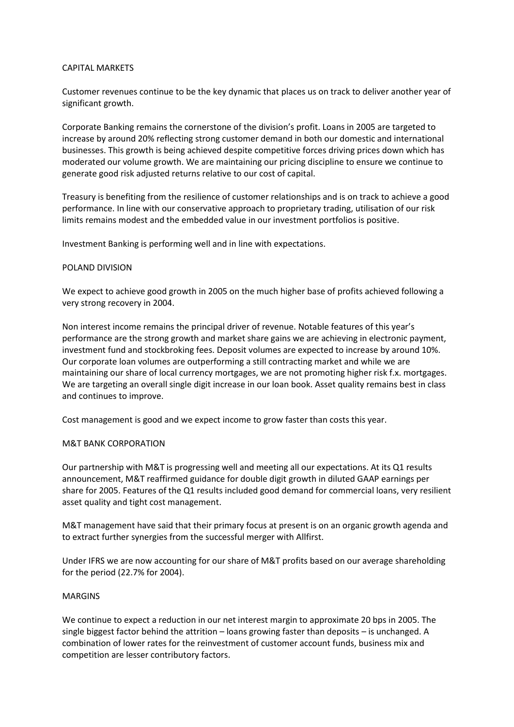# CAPITAL MARKETS

Customer revenues continue to be the key dynamic that places us on track to deliver another year of significant growth.

Corporate Banking remains the cornerstone of the division's profit. Loans in 2005 are targeted to increase by around 20% reflecting strong customer demand in both our domestic and international businesses. This growth is being achieved despite competitive forces driving prices down which has moderated our volume growth. We are maintaining our pricing discipline to ensure we continue to generate good risk adjusted returns relative to our cost of capital.

Treasury is benefiting from the resilience of customer relationships and is on track to achieve a good performance. In line with our conservative approach to proprietary trading, utilisation of our risk limits remains modest and the embedded value in our investment portfolios is positive.

Investment Banking is performing well and in line with expectations.

# POLAND DIVISION

We expect to achieve good growth in 2005 on the much higher base of profits achieved following a very strong recovery in 2004.

Non interest income remains the principal driver of revenue. Notable features of this year's performance are the strong growth and market share gains we are achieving in electronic payment, investment fund and stockbroking fees. Deposit volumes are expected to increase by around 10%. Our corporate loan volumes are outperforming a still contracting market and while we are maintaining our share of local currency mortgages, we are not promoting higher risk f.x. mortgages. We are targeting an overall single digit increase in our loan book. Asset quality remains best in class and continues to improve.

Cost management is good and we expect income to grow faster than costs this year.

#### M&T BANK CORPORATION

Our partnership with M&T is progressing well and meeting all our expectations. At its Q1 results announcement, M&T reaffirmed guidance for double digit growth in diluted GAAP earnings per share for 2005. Features of the Q1 results included good demand for commercial loans, very resilient asset quality and tight cost management.

M&T management have said that their primary focus at present is on an organic growth agenda and to extract further synergies from the successful merger with Allfirst.

Under IFRS we are now accounting for our share of M&T profits based on our average shareholding for the period (22.7% for 2004).

#### MARGINS

We continue to expect a reduction in our net interest margin to approximate 20 bps in 2005. The single biggest factor behind the attrition – loans growing faster than deposits – is unchanged. A combination of lower rates for the reinvestment of customer account funds, business mix and competition are lesser contributory factors.